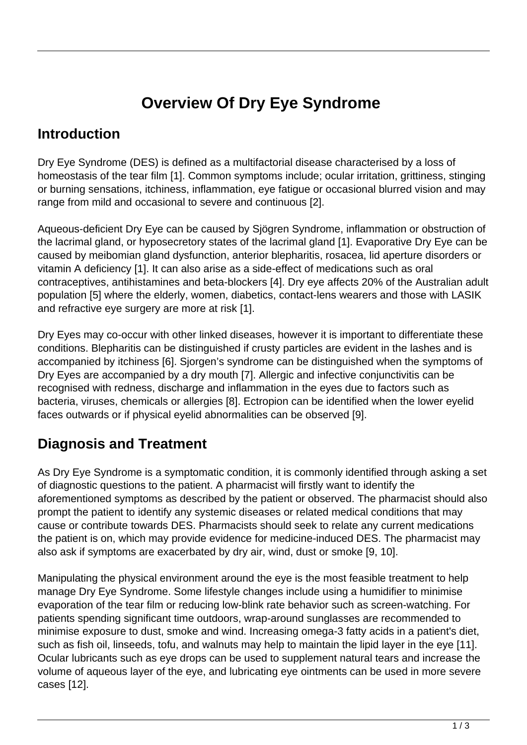# **Overview Of Dry Eye Syndrome**

### **Introduction**

Dry Eye Syndrome (DES) is defined as a multifactorial disease characterised by a loss of homeostasis of the tear film [1]. Common symptoms include; ocular irritation, grittiness, stinging or burning sensations, itchiness, inflammation, eye fatigue or occasional blurred vision and may range from mild and occasional to severe and continuous [2].

Aqueous-deficient Dry Eye can be caused by Sjögren Syndrome, inflammation or obstruction of the lacrimal gland, or hyposecretory states of the lacrimal gland [1]. Evaporative Dry Eye can be caused by meibomian gland dysfunction, anterior blepharitis, rosacea, lid aperture disorders or vitamin A deficiency [1]. It can also arise as a side-effect of medications such as oral contraceptives, antihistamines and beta-blockers [4]. Dry eye affects 20% of the Australian adult population [5] where the elderly, women, diabetics, contact-lens wearers and those with LASIK and refractive eye surgery are more at risk [1].

Dry Eyes may co-occur with other linked diseases, however it is important to differentiate these conditions. Blepharitis can be distinguished if crusty particles are evident in the lashes and is accompanied by itchiness [6]. Sjorgen's syndrome can be distinguished when the symptoms of Dry Eyes are accompanied by a dry mouth [7]. Allergic and infective conjunctivitis can be recognised with redness, discharge and inflammation in the eyes due to factors such as bacteria, viruses, chemicals or allergies [8]. Ectropion can be identified when the lower eyelid faces outwards or if physical eyelid abnormalities can be observed [9].

## **Diagnosis and Treatment**

As Dry Eye Syndrome is a symptomatic condition, it is commonly identified through asking a set of diagnostic questions to the patient. A pharmacist will firstly want to identify the aforementioned symptoms as described by the patient or observed. The pharmacist should also prompt the patient to identify any systemic diseases or related medical conditions that may cause or contribute towards DES. Pharmacists should seek to relate any current medications the patient is on, which may provide evidence for medicine-induced DES. The pharmacist may also ask if symptoms are exacerbated by dry air, wind, dust or smoke [9, 10].

Manipulating the physical environment around the eye is the most feasible treatment to help manage Dry Eye Syndrome. Some lifestyle changes include using a humidifier to minimise evaporation of the tear film or reducing low-blink rate behavior such as screen-watching. For patients spending significant time outdoors, wrap-around sunglasses are recommended to minimise exposure to dust, smoke and wind. Increasing omega-3 fatty acids in a patient's diet, such as fish oil, linseeds, tofu, and walnuts may help to maintain the lipid layer in the eye [11]. Ocular lubricants such as eye drops can be used to supplement natural tears and increase the volume of aqueous layer of the eye, and lubricating eye ointments can be used in more severe cases [12].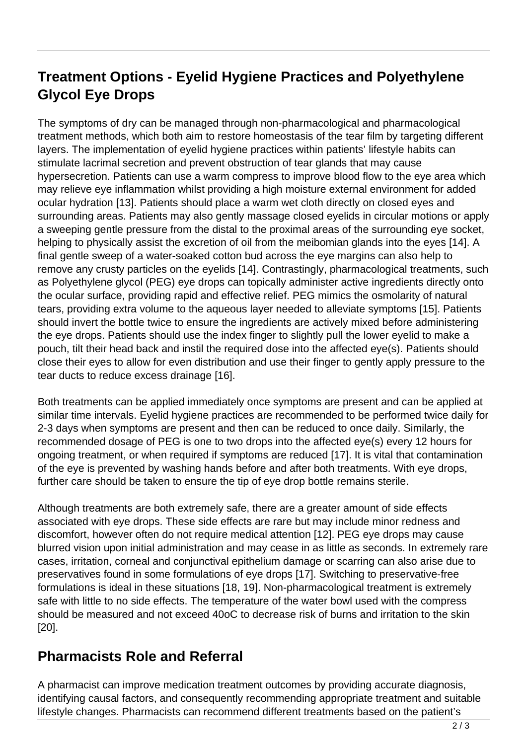## **Treatment Options - Eyelid Hygiene Practices and Polyethylene Glycol Eye Drops**

The symptoms of dry can be managed through non-pharmacological and pharmacological treatment methods, which both aim to restore homeostasis of the tear film by targeting different layers. The implementation of eyelid hygiene practices within patients' lifestyle habits can stimulate lacrimal secretion and prevent obstruction of tear glands that may cause hypersecretion. Patients can use a warm compress to improve blood flow to the eye area which may relieve eye inflammation whilst providing a high moisture external environment for added ocular hydration [13]. Patients should place a warm wet cloth directly on closed eyes and surrounding areas. Patients may also gently massage closed eyelids in circular motions or apply a sweeping gentle pressure from the distal to the proximal areas of the surrounding eye socket, helping to physically assist the excretion of oil from the meibomian glands into the eyes [14]. A final gentle sweep of a water-soaked cotton bud across the eye margins can also help to remove any crusty particles on the eyelids [14]. Contrastingly, pharmacological treatments, such as Polyethylene glycol (PEG) eye drops can topically administer active ingredients directly onto the ocular surface, providing rapid and effective relief. PEG mimics the osmolarity of natural tears, providing extra volume to the aqueous layer needed to alleviate symptoms [15]. Patients should invert the bottle twice to ensure the ingredients are actively mixed before administering the eye drops. Patients should use the index finger to slightly pull the lower eyelid to make a pouch, tilt their head back and instil the required dose into the affected eye(s). Patients should close their eyes to allow for even distribution and use their finger to gently apply pressure to the tear ducts to reduce excess drainage [16].

Both treatments can be applied immediately once symptoms are present and can be applied at similar time intervals. Eyelid hygiene practices are recommended to be performed twice daily for 2-3 days when symptoms are present and then can be reduced to once daily. Similarly, the recommended dosage of PEG is one to two drops into the affected eye(s) every 12 hours for ongoing treatment, or when required if symptoms are reduced [17]. It is vital that contamination of the eye is prevented by washing hands before and after both treatments. With eye drops, further care should be taken to ensure the tip of eye drop bottle remains sterile.

Although treatments are both extremely safe, there are a greater amount of side effects associated with eye drops. These side effects are rare but may include minor redness and discomfort, however often do not require medical attention [12]. PEG eye drops may cause blurred vision upon initial administration and may cease in as little as seconds. In extremely rare cases, irritation, corneal and conjunctival epithelium damage or scarring can also arise due to preservatives found in some formulations of eye drops [17]. Switching to preservative-free formulations is ideal in these situations [18, 19]. Non-pharmacological treatment is extremely safe with little to no side effects. The temperature of the water bowl used with the compress should be measured and not exceed 40oC to decrease risk of burns and irritation to the skin [20].

#### **Pharmacists Role and Referral**

A pharmacist can improve medication treatment outcomes by providing accurate diagnosis, identifying causal factors, and consequently recommending appropriate treatment and suitable lifestyle changes. Pharmacists can recommend different treatments based on the patient's